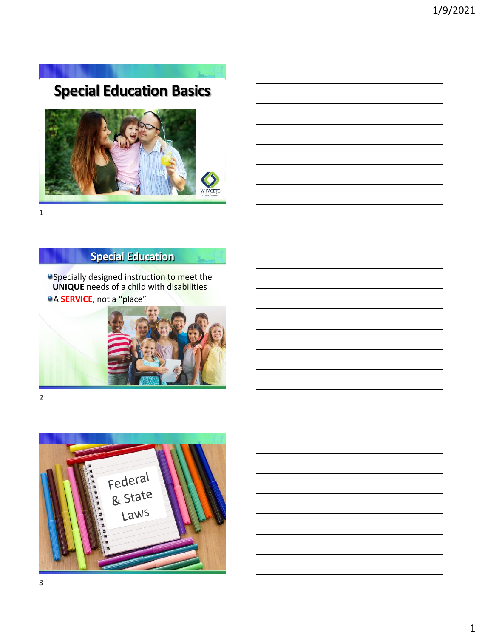# **Special Education Basics**





# **Special Education**

Specially designed instruction to meet the **UNIQUE** needs of a child with disabilities **A SERVICE, not a "place"** 



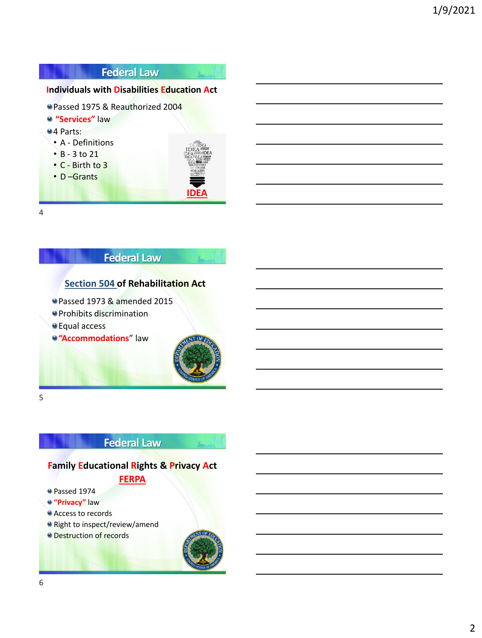## **Federal Law**

## **Individuals with Disabilities Education Act**

- Passed 1975 & Reauthorized 2004
- **"Services"** law

#### 4 Parts:

- A Definitions
- B 3 to 21
- C Birth to 3
- D –Grants



L.

4

## **Federal Law**

## **[Section 504](https://www2.ed.gov/policy/speced/reg/narrative.html) of Rehabilitation Act**

- Passed 1973 & amended 2015
- **O** Prohibits discrimination
- Equal access
- **<sup>o</sup>** "Accommodations" law



5

## **Federal Law**

## **Family Educational Rights & Privacy Act**

#### **[FERPA](https://www2.ed.gov/policy/gen/guid/fpco/ferpa/index.html)**

- Passed 1974
- **"Privacy"** law
- **Access to records**
- Right to inspect/review/amend
- **O** Destruction of records

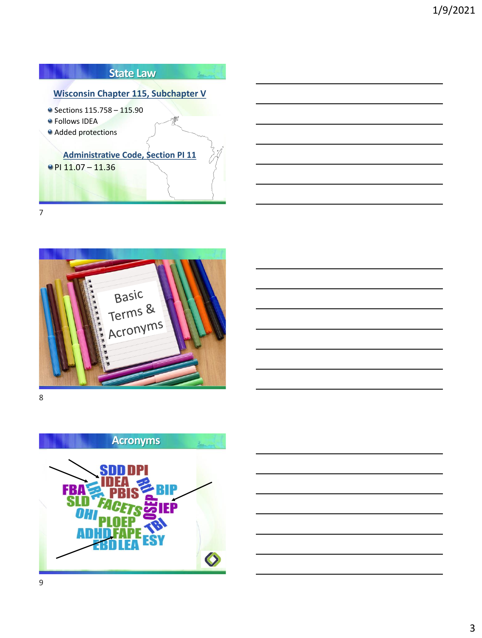

7



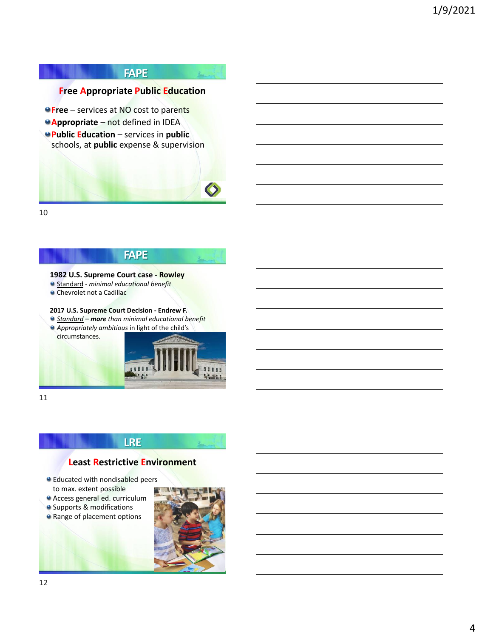#### **FAPE**

المستع

#### **Free Appropriate Public Education**

- *•* **Free** services at NO cost to parents
- **Appropriate** not defined in IDEA
- **Public Education**  services in **public** schools, at **public** expense & supervision



10

## **FAPE**

#### **1982 U.S. Supreme Court case - Rowley**

- Standard *- minimal educational benefit*
- **Chevrolet not a Cadillac**

#### **2017 U.S. Supreme Court Decision - Endrew F.**

- *Standard – more than minimal educational benefit*
- *Appropriately ambitious* in light of the child's circumstances.



11

#### **LRE**

#### **Least Restrictive Environment**

- Educated with nondisabled peers to max. extent possible
- Access general ed. curriculum
- **O** Supports & modifications
- **a** Range of placement options

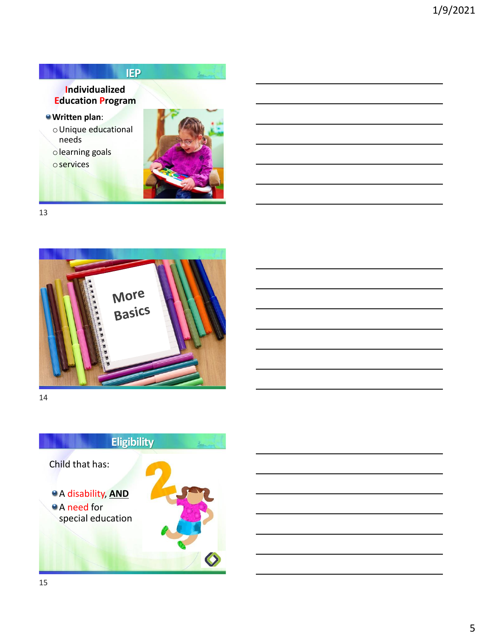



13



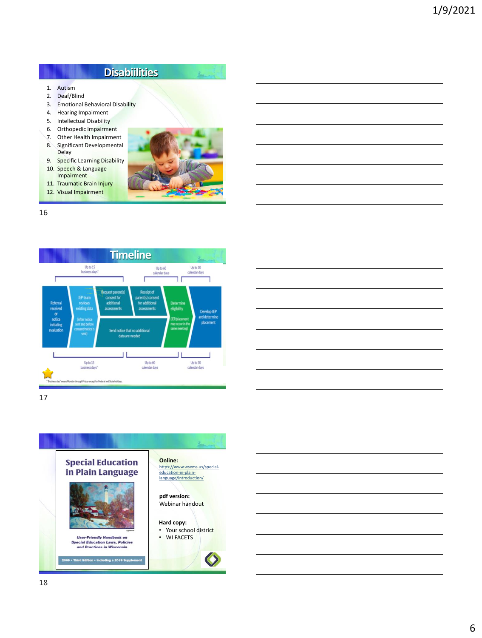# **Disabiilities**

- 1. Autism
- 2. Deaf/Blind<br>3. Emotional
- **Emotional Behavioral Disability**
- 4. Hearing Impairment
- 5. Intellectual Disability
- 6. Orthopedic Impairment 7. Other Health Impairment
- 8. Significant Developmental Delay
- 9. Specific Learning Disability
- 10. Speech & Language Impairment
- 11. Traumatic Brain Injury
- 12. Visual Impairment



 $\lambda_{\rm max}$